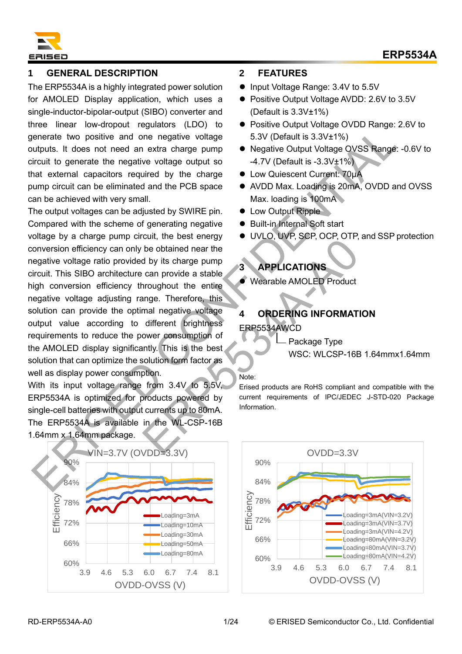

# **1 GENERAL DESCRIPTION**

The ERP5534A is a highly integrated power solution for AMOLED Display application, which uses a single-inductor-bipolar-output (SIBO) converter and three linear low-dropout regulators (LDO) to generate two positive and one negative voltage outputs. It does not need an extra charge pump circuit to generate the negative voltage output so that external capacitors required by the charge pump circuit can be eliminated and the PCB space can be achieved with very small.

The output voltages can be adjusted by SWIRE pin. Compared with the scheme of generating negative voltage by a charge pump circuit, the best energy conversion efficiency can only be obtained near the negative voltage ratio provided by its charge pump circuit. This SIBO architecture can provide a stable high conversion efficiency throughout the entire negative voltage adjusting range. Therefore, this solution can provide the optimal negative voltage output value according to different brightness requirements to reduce the power consumption of the AMOLED display significantly. This is the best solution that can optimize the solution form factor as well as display power consumption. mental to the since the weather and the matter and the matter and the matter of the since of the matter and the matter and the matter and the matter and the matter and the matter and the matter and the matter and the matte EXERCISE THE WEIGHT ON THE WATER ON THE WARD WERE THE WORD TO THE SAME ONE CONTROLLED PRODUCT UNIT ON THE SAME ONE CONTROLLED PRODUCT ON THE SAME ONE CONTROLLED PROVIDED PRODUCT ON THE SAME ONE CONTROLLED THAT A SAME ONE C

With its input voltage range from 3.4V to 5.5V, ERP5534A is optimized for products powered by single-cell batteries with output currents up to 80mA. The ERP5534A is available in the WL-CSP-16B 1.64mm x 1.64mm package.



#### **2 FEATURES**

- Input Voltage Range: 3.4V to 5.5V
- Positive Output Voltage AVDD: 2.6V to 3.5V (Default is 3.3V±1%)
- Positive Output Voltage OVDD Range: 2.6V to 5.3V (Default is 3.3V±1%)
- Negative Output Voltage OVSS Range: -0.6V to -4.7V (Default is -3.3V±1%)
- ⚫ Low Quiescent Current: 70μA
- AVDD Max. Loading is 20mA, OVDD and OVSS Max. loading is 100mA
- Low Output Ripple
- Built-in Internal Soft start
- ⚫ UVLO, UVP, SCP, OCP, OTP, and SSP protection

# **3 APPLICATIONS**

⚫ Wearable AMOLED Product

# **4 ORDERING INFORMATION** ERP5534AWCD

Package Type

WSC: WLCSP-16B 1.64mmx1.64mm

#### Note:

Erised products are RoHS compliant and compatible with the current requirements of IPC/JEDEC J-STD-020 Package Information.